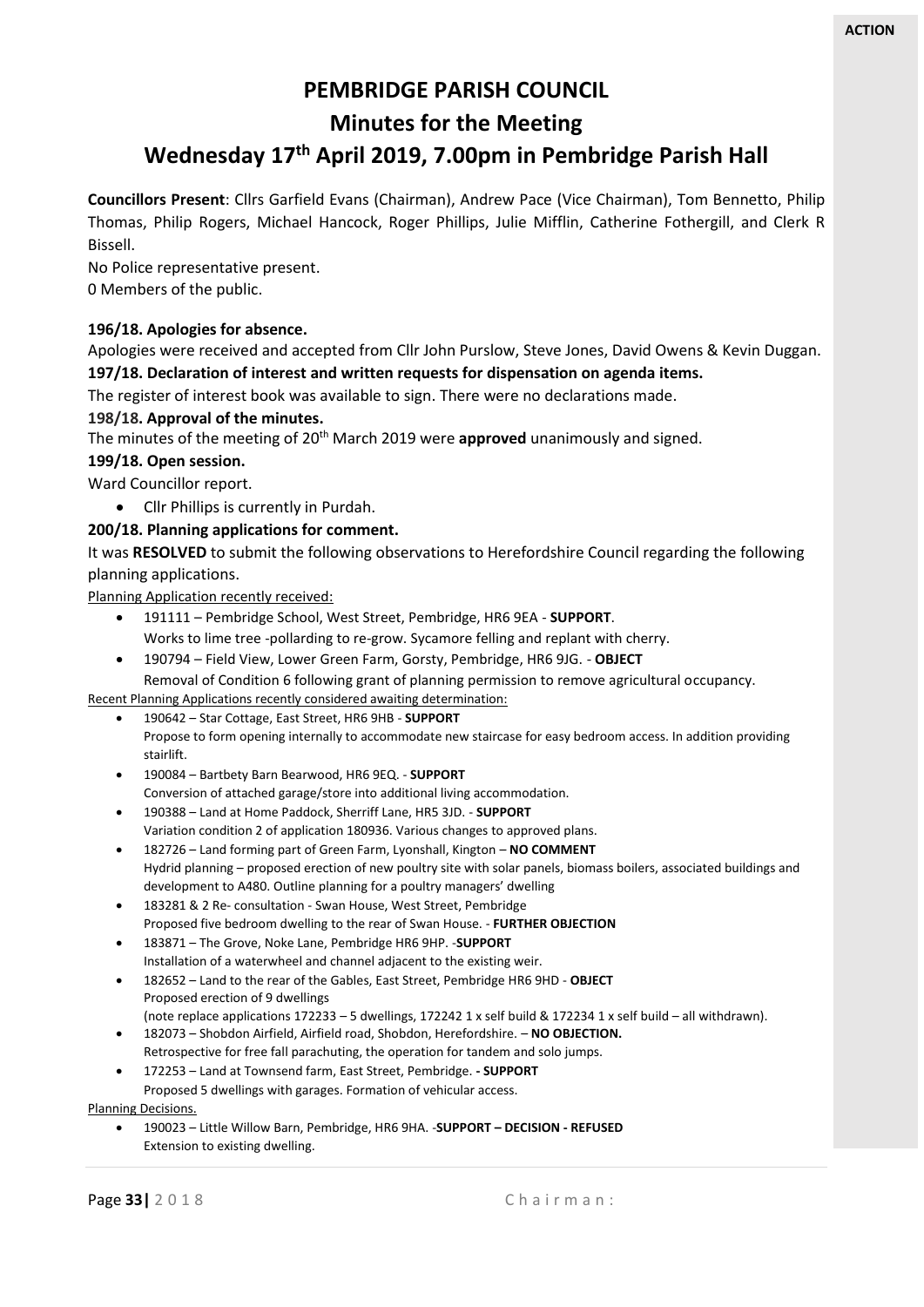# **PEMBRIDGE PARISH COUNCIL**

**Minutes for the Meeting**

# **Wednesday 17th April 2019, 7.00pm in Pembridge Parish Hall**

**Councillors Present**: Cllrs Garfield Evans (Chairman), Andrew Pace (Vice Chairman), Tom Bennetto, Philip Thomas, Philip Rogers, Michael Hancock, Roger Phillips, Julie Mifflin, Catherine Fothergill, and Clerk R Bissell.

No Police representative present.

0 Members of the public.

# **196/18. Apologies for absence.**

Apologies were received and accepted from Cllr John Purslow, Steve Jones, David Owens & Kevin Duggan. **197/18. Declaration of interest and written requests for dispensation on agenda items.**

The register of interest book was available to sign. There were no declarations made.

# **198/18. Approval of the minutes.**

The minutes of the meeting of 20th March 2019 were **approved** unanimously and signed.

**199/18. Open session.**

Ward Councillor report.

• Cllr Phillips is currently in Purdah.

# **200/18. Planning applications for comment.**

It was **RESOLVED** to submit the following observations to Herefordshire Council regarding the following planning applications.

Planning Application recently received:

- 191111 Pembridge School, West Street, Pembridge, HR6 9EA **SUPPORT**. Works to lime tree -pollarding to re-grow. Sycamore felling and replant with cherry.
- 190794 Field View, Lower Green Farm, Gorsty, Pembridge, HR6 9JG. **OBJECT**

Removal of Condition 6 following grant of planning permission to remove agricultural occupancy.

Recent Planning Applications recently considered awaiting determination:

- 190642 Star Cottage, East Street, HR6 9HB **SUPPORT** Propose to form opening internally to accommodate new staircase for easy bedroom access. In addition providing stairlift.
- 190084 Bartbety Barn Bearwood, HR6 9EQ. **SUPPORT** Conversion of attached garage/store into additional living accommodation.
- 190388 Land at Home Paddock, Sherriff Lane, HR5 3JD. **SUPPORT** Variation condition 2 of application 180936. Various changes to approved plans.
- 182726 Land forming part of Green Farm, Lyonshall, Kington **NO COMMENT** Hydrid planning – proposed erection of new poultry site with solar panels, biomass boilers, associated buildings and development to A480. Outline planning for a poultry managers' dwelling
- 183281 & 2 Re- consultation Swan House, West Street, Pembridge Proposed five bedroom dwelling to the rear of Swan House. - **FURTHER OBJECTION**
- 183871 The Grove, Noke Lane, Pembridge HR6 9HP. -**SUPPORT** Installation of a waterwheel and channel adjacent to the existing weir.
- 182652 Land to the rear of the Gables, East Street, Pembridge HR6 9HD **OBJECT** Proposed erection of 9 dwellings
	- (note replace applications 172233 5 dwellings, 172242 1 x self build & 172234 1 x self build all withdrawn).
- 182073 Shobdon Airfield, Airfield road, Shobdon, Herefordshire. **NO OBJECTION.** Retrospective for free fall parachuting, the operation for tandem and solo jumps.
- 172253 Land at Townsend farm, East Street, Pembridge. **- SUPPORT**

Proposed 5 dwellings with garages. Formation of vehicular access.

Planning Decisions.

• 190023 – Little Willow Barn, Pembridge, HR6 9HA. -**SUPPORT – DECISION - REFUSED** Extension to existing dwelling.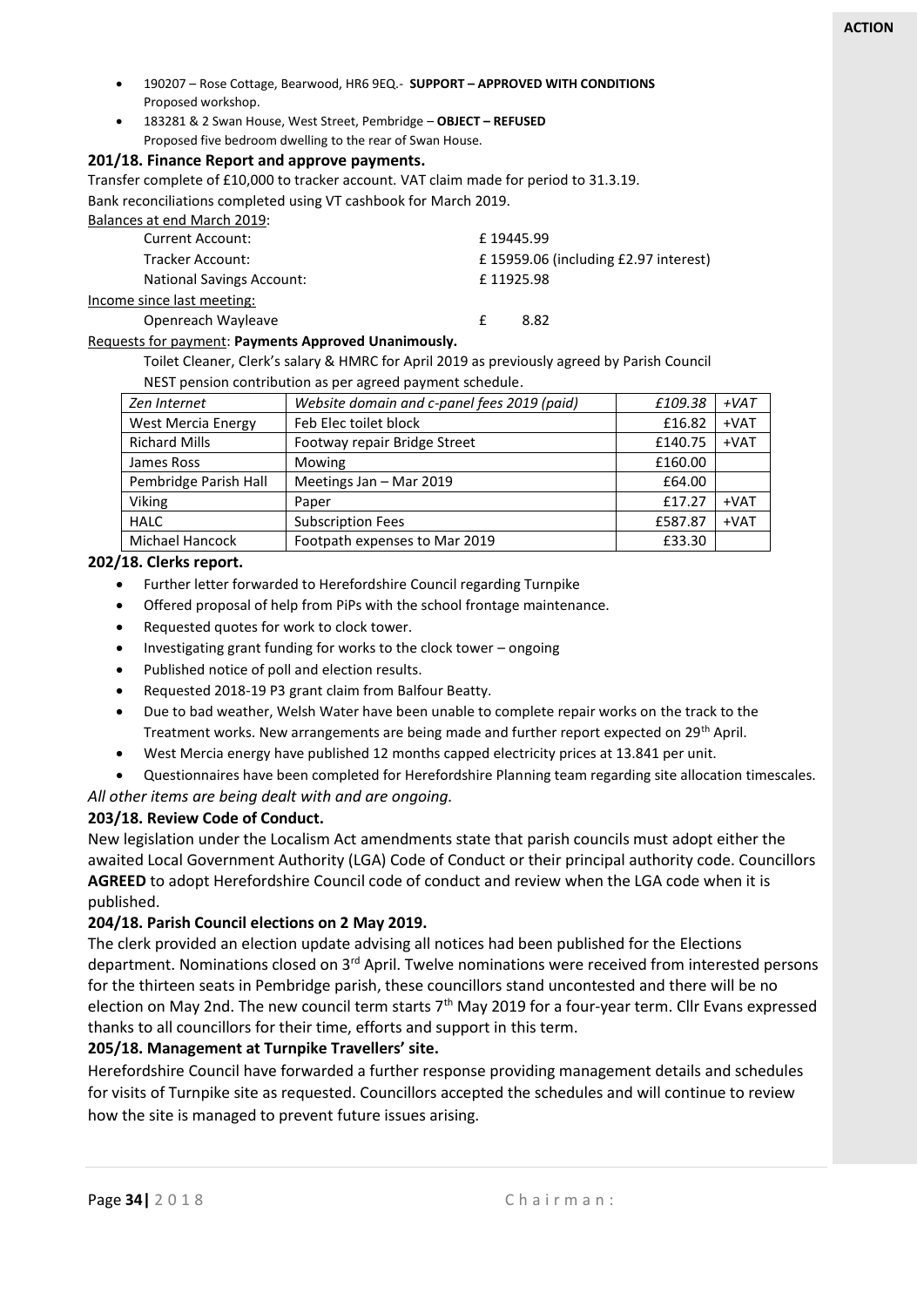- 190207 Rose Cottage, Bearwood, HR6 9EQ.- **SUPPORT – APPROVED WITH CONDITIONS** Proposed workshop.
- 183281 & 2 Swan House, West Street, Pembridge **OBJECT – REFUSED**  Proposed five bedroom dwelling to the rear of Swan House.

#### **201/18. Finance Report and approve payments.**

Transfer complete of £10,000 to tracker account. VAT claim made for period to 31.3.19.

Bank reconciliations completed using VT cashbook for March 2019.

| Balances at end March 2019:      |                                         |  |  |
|----------------------------------|-----------------------------------------|--|--|
| <b>Current Account:</b>          | £19445.99                               |  |  |
| Tracker Account:                 | £ 15959.06 (including $E2.97$ interest) |  |  |
| <b>National Savings Account:</b> | £11925.98                               |  |  |
| Income since last meeting:       |                                         |  |  |
| Openreach Wayleave               | 8.82                                    |  |  |

#### Requests for payment: **Payments Approved Unanimously.**

Toilet Cleaner, Clerk's salary & HMRC for April 2019 as previously agreed by Parish Council NEST pension contribution as per agreed payment schedule.

| Zen Internet          | Website domain and c-panel fees 2019 (paid) | £109.38 | $+VAT$ |
|-----------------------|---------------------------------------------|---------|--------|
| West Mercia Energy    | Feb Elec toilet block                       | £16.82  | $+VAT$ |
| <b>Richard Mills</b>  | Footway repair Bridge Street                | £140.75 | $+VAT$ |
| James Ross            | Mowing                                      | £160.00 |        |
| Pembridge Parish Hall | Meetings Jan - Mar 2019                     | £64.00  |        |
| Viking                | Paper                                       | £17.27  | $+VAT$ |
| <b>HALC</b>           | <b>Subscription Fees</b>                    | £587.87 | $+VAT$ |
| Michael Hancock       | Footpath expenses to Mar 2019               | £33.30  |        |

#### **202/18. Clerks report.**

- Further letter forwarded to Herefordshire Council regarding Turnpike
- Offered proposal of help from PiPs with the school frontage maintenance.
- Requested quotes for work to clock tower.
- Investigating grant funding for works to the clock tower ongoing
- Published notice of poll and election results.
- Requested 2018-19 P3 grant claim from Balfour Beatty.
- Due to bad weather, Welsh Water have been unable to complete repair works on the track to the Treatment works. New arrangements are being made and further report expected on 29th April.
- West Mercia energy have published 12 months capped electricity prices at 13.841 per unit.
- Questionnaires have been completed for Herefordshire Planning team regarding site allocation timescales.

*All other items are being dealt with and are ongoing.*

#### **203/18. Review Code of Conduct.**

New legislation under the Localism Act amendments state that parish councils must adopt either the awaited Local Government Authority (LGA) Code of Conduct or their principal authority code. Councillors **AGREED** to adopt Herefordshire Council code of conduct and review when the LGA code when it is published.

#### **204/18. Parish Council elections on 2 May 2019.**

The clerk provided an election update advising all notices had been published for the Elections department. Nominations closed on 3<sup>rd</sup> April. Twelve nominations were received from interested persons for the thirteen seats in Pembridge parish, these councillors stand uncontested and there will be no election on May 2nd. The new council term starts  $7<sup>th</sup>$  May 2019 for a four-year term. Cllr Evans expressed thanks to all councillors for their time, efforts and support in this term.

#### **205/18. Management at Turnpike Travellers' site.**

Herefordshire Council have forwarded a further response providing management details and schedules for visits of Turnpike site as requested. Councillors accepted the schedules and will continue to review how the site is managed to prevent future issues arising.